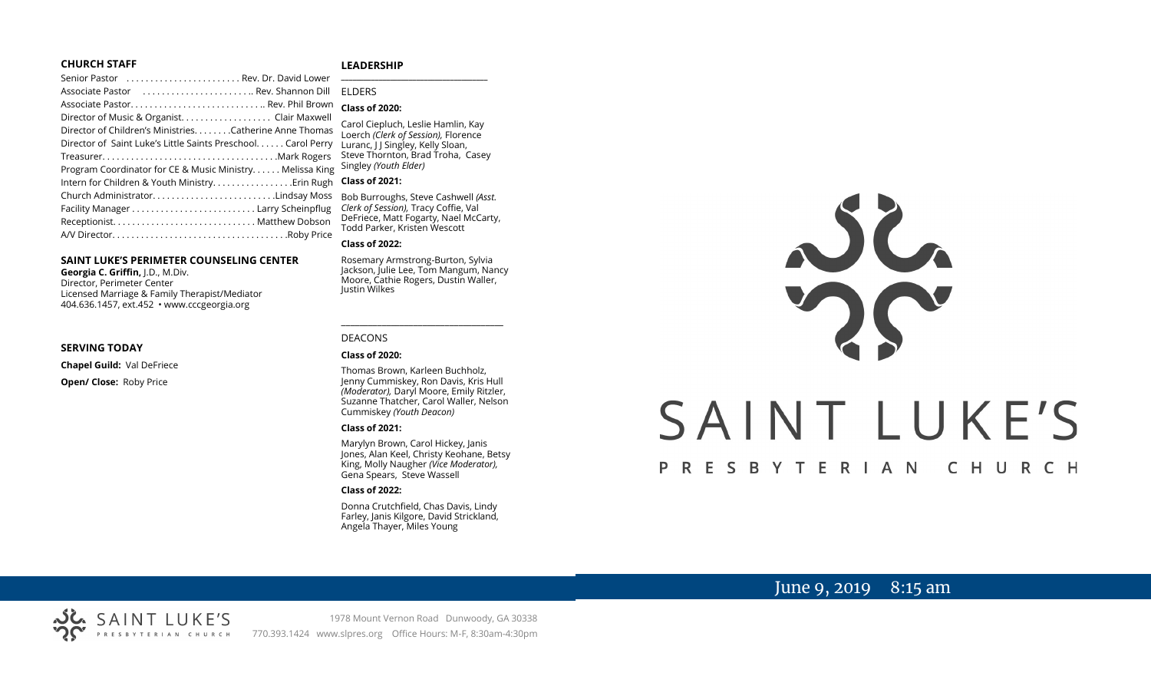## **CHURCH STAFF**

## **LEADERSHIP**

| Senior Pastor  Rev. Dr. David Lower                           |                                                                           |
|---------------------------------------------------------------|---------------------------------------------------------------------------|
| Associate Pastor  Rev. Shannon Dill                           | <b>ELDERS</b>                                                             |
|                                                               | <b>Class of 2020:</b>                                                     |
| Director of Music & Organist. Clair Maxwell                   |                                                                           |
| Director of Children's MinistriesCatherine Anne Thomas        | Carol Ciepluch, Leslie Hamlin, Kay<br>Loerch (Clerk of Session), Florence |
| Director of Saint Luke's Little Saints Preschool. Carol Perry | Luranc, J J Singley, Kelly Sloan,                                         |
|                                                               | Steve Thornton, Brad Troha, Casey                                         |
| Program Coordinator for CE & Music Ministry. Melissa King     | Singley (Youth Elder)                                                     |
| Intern for Children & Youth Ministry Erin Rugh                | <b>Class of 2021:</b>                                                     |
| Church AdministratorLindsay Moss                              | Bob Burroughs, Steve Cashwell (As                                         |
|                                                               | Clerk of Session), Tracy Coffie, Val                                      |
|                                                               | DeFriece, Matt Fogarty, Nael McCa                                         |
|                                                               | Todd Parker, Kristen Wescott                                              |
|                                                               |                                                                           |

## **SAINT LUKE'S PERIMETER COUNSELING CENTER**

**Georgia C. Griffin,** J.D., M.Div. Director, Perimeter Center Licensed Marriage & Family Therapist/Mediator 404.636.1457, ext.452 • www.cccgeorgia.org

#### **SERVING TODAY**

**Chapel Guild:** Val DeFriece **Open/ Close:** Roby Price

### **Class of 2021:**

Bob Burroughs, Steve Cashwell *(Asst. Clerk of Session),* Tracy Coffie, Val DeFriece, Matt Fogarty, Nael McCarty, Todd Parker, Kristen Wescott

#### **Class of 2022:**

Rosemary Armstrong-Burton, Sylvia Jackson, Julie Lee, Tom Mangum, Nancy Moore, Cathie Rogers, Dustin Waller, Justin Wilkes

\_\_\_\_\_\_\_\_\_\_\_\_\_\_\_\_\_\_\_\_\_\_\_\_\_\_\_\_\_\_\_\_\_\_\_\_

## DEACONS

## **Class of 2020:**

Thomas Brown, Karleen Buchholz, Jenny Cummiskey, Ron Davis, Kris Hull *(Moderator),* Daryl Moore, Emily Ritzler, Suzanne Thatcher, Carol Waller, Nelson Cummiskey *(Youth Deacon)*

#### **Class of 2021:**

Marylyn Brown, Carol Hickey, Janis Jones, Alan Keel, Christy Keohane, Betsy King, Molly Naugher *(Vice Moderator),*  Gena Spears, Steve Wassell

#### **Class of 2022:**

Donna Crutchfield, Chas Davis, Lindy Farley, Janis Kilgore, David Strickland, Angela Thayer, Miles Young



# June 9, 2019 8:15 am



1978 Mount Vernon Road Dunwoody, GA 30338 PRESBYTERIAN CHURCH 770.393.1424 www.slpres.org Office Hours: M-F, 8:30am-4:30pm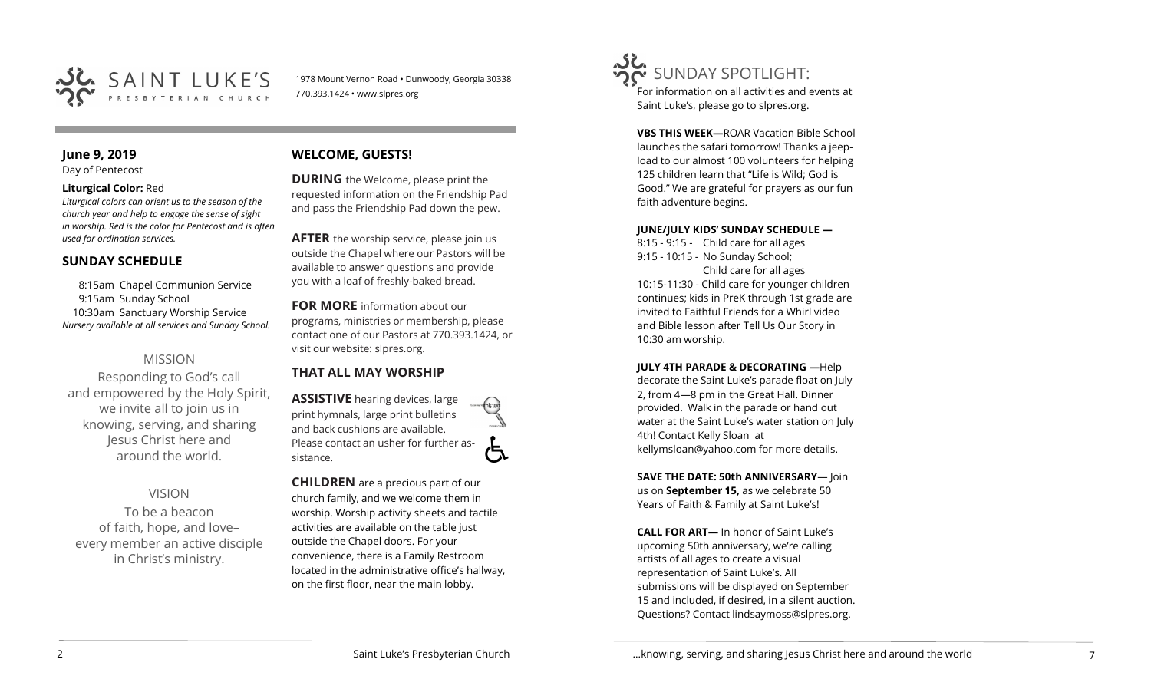

1978 Mount Vernon Road • Dunwoody, Georgia 30338 770.393.1424 • www.slpres.org

# **June 9, 2019**

Day of Pentecost

## **Liturgical Color:** Red

*Liturgical colors can orient us to the season of the church year and help to engage the sense of sight in worship. Red is the color for Pentecost and is often used for ordination services.*

# **SUNDAY SCHEDULE**

8:15am Chapel Communion Service 9:15am Sunday School 10:30am Sanctuary Worship Service *Nursery available at all services and Sunday School.* 

# MISSION

Responding to God's call and empowered by the Holy Spirit, we invite all to join us in knowing, serving, and sharing Jesus Christ here and around the world.

VISION To be a beacon of faith, hope, and love– every member an active disciple in Christ's ministry.

# **WELCOME, GUESTS!**

**DURING** the Welcome, please print the requested information on the Friendship Pad and pass the Friendship Pad down the pew.

**AFTER** the worship service, please join us outside the Chapel where our Pastors will be available to answer questions and provide you with a loaf of freshly-baked bread.

**FOR MORE** information about our programs, ministries or membership, please contact one of our Pastors at 770.393.1424, or visit our website: slpres.org.

# **THAT ALL MAY WORSHIP**

**ASSISTIVE** hearing devices, large print hymnals, large print bulletins and back cushions are available. Please contact an usher for further assistance.

**CHILDREN** are a precious part of our church family, and we welcome them in worship. Worship activity sheets and tactile activities are available on the table just outside the Chapel doors. For your convenience, there is a Family Restroom located in the administrative office's hallway, on the first floor, near the main lobby.

SUNDAY SPOTLIGHT: For information on all activities and events at Saint Luke's, please go to slpres.org.

> **VBS THIS WEEK—**ROAR Vacation Bible School launches the safari tomorrow! Thanks a jeepload to our almost 100 volunteers for helping 125 children learn that "Life is Wild; God is Good." We are grateful for prayers as our fun faith adventure begins.

## **JUNE/JULY KIDS' SUNDAY SCHEDULE —**

8:15 - 9:15 - Child care for all ages 9:15 - 10:15 - No Sunday School; Child care for all ages 10:15-11:30 - Child care for younger children continues; kids in PreK through 1st grade are invited to Faithful Friends for a Whirl video and Bible lesson after Tell Us Our Story in 10:30 am worship.

**JULY 4TH PARADE & DECORATING —**Help decorate the Saint Luke's parade float on July 2, from 4—8 pm in the Great Hall. Dinner provided. Walk in the parade or hand out water at the Saint Luke's water station on July 4th! Contact Kelly Sloan at kellymsloan@yahoo.com for more details.

**SAVE THE DATE: 50th ANNIVERSARY**— Join us on **September 15,** as we celebrate 50 Years of Faith & Family at Saint Luke's!

**CALL FOR ART—** In honor of Saint Luke's upcoming 50th anniversary, we're calling artists of all ages to create a visual representation of Saint Luke's. All submissions will be displayed on September 15 and included, if desired, in a silent auction. Questions? Contact lindsaymoss@slpres.org.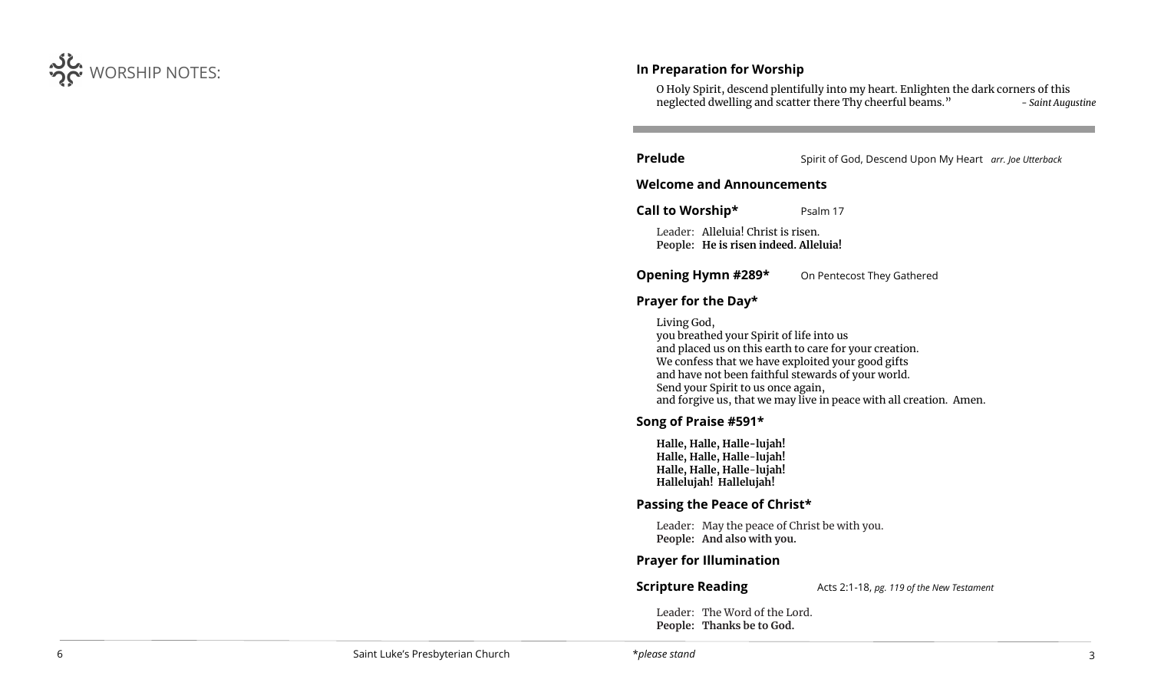

# **In Preparation for Worship**

O Holy Spirit, descend plentifully into my heart. Enlighten the dark corners of this neglected dwelling and scatter there Thy cheerful beams." *- Saint Augustine*

**Prelude** Spirit of God, Descend Upon My Heart *arr. Joe Utterback* 

## **Welcome and Announcements**

**Call to Worship\*** Psalm 17

Leader: Alleluia! Christ is risen. **People: He is risen indeed. Alleluia!**

**Opening Hymn #289\*** On Pentecost They Gathered

## **Prayer for the Day\***

Living God, you breathed your Spirit of life into us and placed us on this earth to care for your creation. We confess that we have exploited your good gifts and have not been faithful stewards of your world. Send your Spirit to us once again, and forgive us, that we may live in peace with all creation. Amen.

# **Song of Praise #591\***

**Halle, Halle, Halle-lujah! Halle, Halle, Halle**-**lujah! Halle, Halle, Halle**-**lujah! Hallelujah! Hallelujah!**

# **Passing the Peace of Christ\***

Leader: May the peace of Christ be with you. **People: And also with you.** 

# **Prayer for Illumination**

**Scripture Reading** Acts 2:1-18, *pg. 119 of the New Testament* 

Leader: The Word of the Lord. **People: Thanks be to God.**